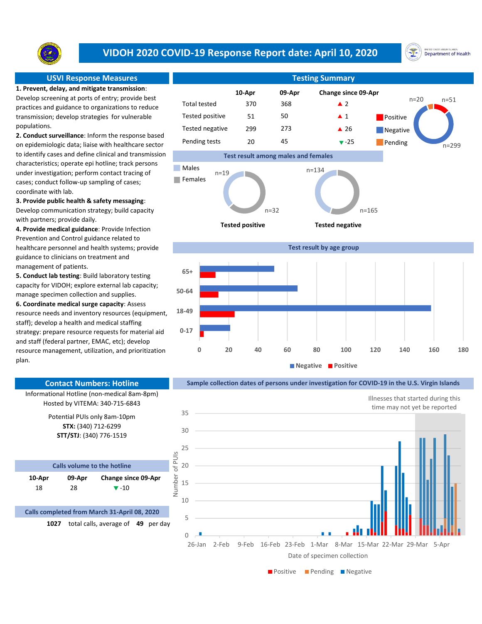

# VIDOH 2020 COVID-19 Response Report date: April 10, 2020



1. Prevent, delay, and mitigate transmission: Develop screening at ports of entry; provide best practices and guidance to organizations to reduce transmission; develop strategies for vulnerable populations.

2. Conduct surveillance: Inform the response based on epidemiologic data; liaise with healthcare sector to identify cases and define clinical and transmission characteristics; operate epi hotline; track persons under investigation; perform contact tracing of cases; conduct follow-up sampling of cases; coordinate with lab.

### 3. Provide public health & safety messaging:

Develop communication strategy; build capacity with partners; provide daily.

4. Provide medical guidance: Provide Infection Prevention and Control guidance related to healthcare personnel and health systems; provide guidance to clinicians on treatment and management of patients.

5. Conduct lab testing: Build laboratory testing capacity for VIDOH; explore external lab capacity; manage specimen collection and supplies.

6. Coordinate medical surge capacity: Assess resource needs and inventory resources (equipment, staff); develop a health and medical staffing strategy: prepare resource requests for material aid and staff (federal partner, EMAC, etc); develop resource management, utilization, and prioritization plan.

18 28  $\sqrt{-10}$ 

Calls volume to the hotline

Potential PUIs only 8am-10pm STX: (340) 712-6299 STT/STJ: (340) 776-1519

Informational Hotline (non-medical 8am-8pm) Hosted by VITEMA: 340-715-6843

Contact Numbers: Hotline

09-Apr Change since 09-Apr

Calls completed from March 31-April 08, 2020

10-Apr

### Change since 09-Apr  $370$   $368$   $\triangle$  2  $51 \hspace{1.5cm} 50 \hspace{1.5cm} \blacktriangle 1$ 299 273 ▲ 26 20 45 **v**-25 Pending USVI Response Measures Testing Summary Control of Testing Summary Tested positive Tested negative Pending tests 10-Apr 09-Apr 50 273 Test result among males and females 45 **Positive Negative** Total tested 370 368 n=51 n=299 n=20





**Negative Positive** 

## Sample collection dates of persons under investigation for COVID-19 in the U.S. Virgin Islands



**Positive Pending Pegative**